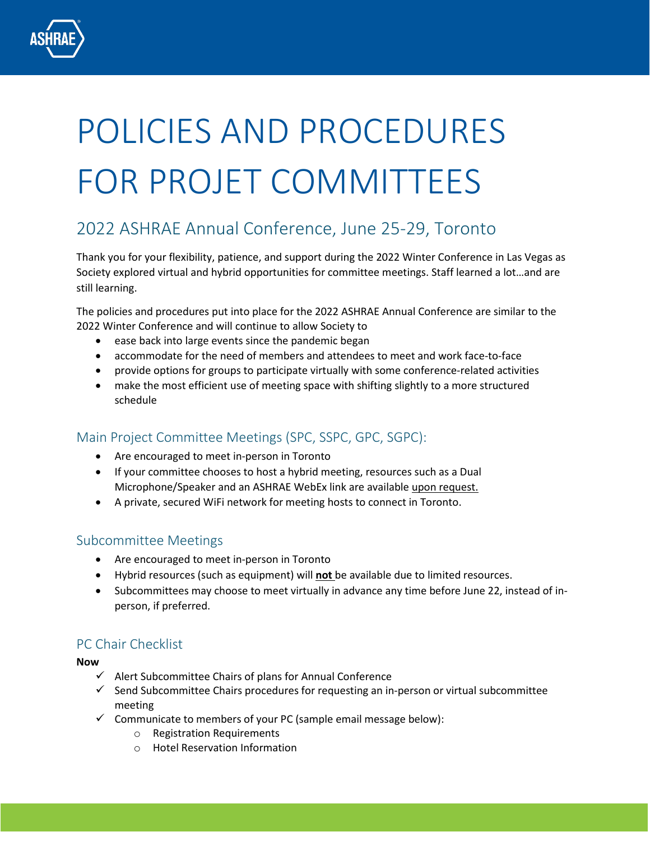# POLICIES AND PROCEDURES FOR PROJET COMMITTEES

# 2022 ASHRAE Annual Conference, June 25-29, Toronto

Thank you for your flexibility, patience, and support during the 2022 Winter Conference in Las Vegas as Society explored virtual and hybrid opportunities for committee meetings. Staff learned a lot…and are still learning.

The policies and procedures put into place for the 2022 ASHRAE Annual Conference are similar to the 2022 Winter Conference and will continue to allow Society to

- ease back into large events since the pandemic began
- accommodate for the need of members and attendees to meet and work face-to-face
- provide options for groups to participate virtually with some conference-related activities
- make the most efficient use of meeting space with shifting slightly to a more structured schedule

# Main Project Committee Meetings (SPC, SSPC, GPC, SGPC):

- Are encouraged to meet in-person in Toronto
- If your committee chooses to host a hybrid meeting, resources such as a Dual Microphone/Speaker and an ASHRAE WebEx link are available upon request.
- A private, secured WiFi network for meeting hosts to connect in Toronto.

## Subcommittee Meetings

- Are encouraged to meet in-person in Toronto
- Hybrid resources (such as equipment) will **not** be available due to limited resources.
- Subcommittees may choose to meet virtually in advance any time before June 22, instead of inperson, if preferred.

# PC Chair Checklist

**Now**

- $\checkmark$  Alert Subcommittee Chairs of plans for Annual Conference
- $\checkmark$  Send Subcommittee Chairs procedures for requesting an in-person or virtual subcommittee meeting
- $\checkmark$  Communicate to members of your PC (sample email message below):
	- o Registration Requirements
	- o Hotel Reservation Information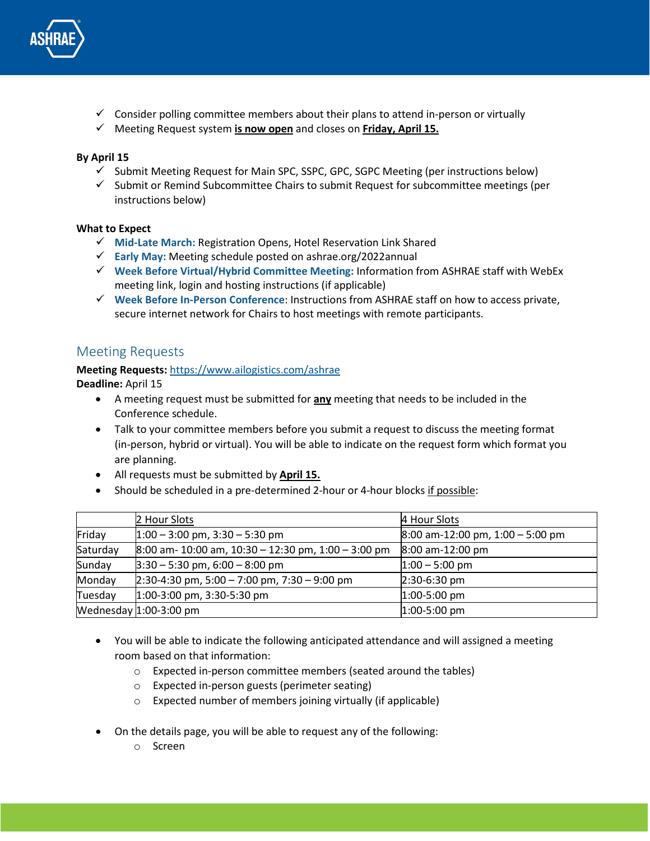

- $\checkmark$  Consider polling committee members about their plans to attend in-person or virtually
- Meeting Request system **is now open** and closes on **Friday, April 15.**

#### **By April 15**

- $\checkmark$  Submit Meeting Request for Main SPC, SSPC, GPC, SGPC Meeting (per instructions below)
- $\checkmark$  Submit or Remind Subcommittee Chairs to submit Request for subcommittee meetings (per instructions below)

#### **What to Expect**

- **Mid-Late March:** Registration Opens, Hotel Reservation Link Shared
- **Early May:** Meeting schedule posted on ashrae.org/2022annual
- **Week Before Virtual/Hybrid Committee Meeting:** Information from ASHRAE staff with WebEx meeting link, login and hosting instructions (if applicable)
- **Week Before In-Person Conference**: Instructions from ASHRAE staff on how to access private, secure internet network for Chairs to host meetings with remote participants.

### Meeting Requests

# **Meeting Requests:** <https://www.ailogistics.com/ashrae>

**Deadline:** April 15

- A meeting request must be submitted for **any** meeting that needs to be included in the Conference schedule.
- Talk to your committee members before you submit a request to discuss the meeting format (in-person, hybrid or virtual). You will be able to indicate on the request form which format you are planning.
- All requests must be submitted by **April 15.**
- Should be scheduled in a pre-determined 2-hour or 4-hour blocks if possible:

|          | 2 Hour Slots                                          | 4 Hour Slots                       |
|----------|-------------------------------------------------------|------------------------------------|
| Friday   | $1:00 - 3:00$ pm, $3:30 - 5:30$ pm                    | $8:00$ am-12:00 pm, 1:00 - 5:00 pm |
| Saturday | $8:00$ am- 10:00 am, 10:30 - 12:30 pm, 1:00 - 3:00 pm | 8:00 am-12:00 pm                   |
| Sunday   | $3:30 - 5:30$ pm, 6:00 - 8:00 pm                      | $1:00 - 5:00$ pm                   |
| Monday   | $2:30-4:30$ pm, 5:00 - 7:00 pm, 7:30 - 9:00 pm        | $2:30-6:30$ pm                     |
| Tuesday  | $1:00-3:00$ pm, 3:30-5:30 pm                          | $1:00-5:00$ pm                     |
|          | Wednesday $1:00-3:00$ pm                              | $1:00-5:00$ pm                     |

- You will be able to indicate the following anticipated attendance and will assigned a meeting room based on that information:
	- o Expected in-person committee members (seated around the tables)
	- o Expected in-person guests (perimeter seating)
	- o Expected number of members joining virtually (if applicable)
- On the details page, you will be able to request any of the following:
	- o Screen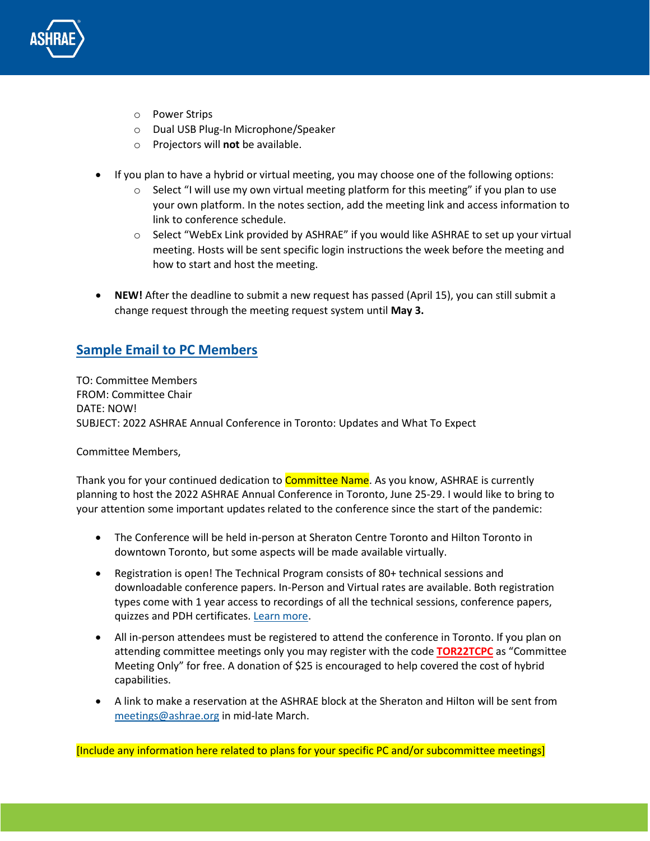

- o Power Strips
- o Dual USB Plug-In Microphone/Speaker
- o Projectors will **not** be available.
- If you plan to have a hybrid or virtual meeting, you may choose one of the following options:
	- $\circ$  Select "I will use my own virtual meeting platform for this meeting" if you plan to use your own platform. In the notes section, add the meeting link and access information to link to conference schedule.
	- $\circ$  Select "WebEx Link provided by ASHRAE" if you would like ASHRAE to set up your virtual meeting. Hosts will be sent specific login instructions the week before the meeting and how to start and host the meeting.
- **NEW!** After the deadline to submit a new request has passed (April 15), you can still submit a change request through the meeting request system until **May 3.**

# **Sample Email to PC Members**

TO: Committee Members FROM: Committee Chair DATE: NOW! SUBJECT: 2022 ASHRAE Annual Conference in Toronto: Updates and What To Expect

Committee Members,

Thank you for your continued dedication to **Committee Name**. As you know, ASHRAE is currently planning to host the 2022 ASHRAE Annual Conference in Toronto, June 25-29. I would like to bring to your attention some important updates related to the conference since the start of the pandemic:

- The Conference will be held in-person at Sheraton Centre Toronto and Hilton Toronto in downtown Toronto, but some aspects will be made available virtually.
- Registration is open! The Technical Program consists of 80+ technical sessions and downloadable conference papers. In-Person and Virtual rates are available. Both registration types come with 1 year access to recordings of all the technical sessions, conference papers, quizzes and PDH certificates. [Learn more.](http://www.ashrae.org/2022annual)
- All in-person attendees must be registered to attend the conference in Toronto. If you plan on attending committee meetings only you may register with the code **TOR22TCPC** as "Committee Meeting Only" for free. A donation of \$25 is encouraged to help covered the cost of hybrid capabilities.
- A link to make a reservation at the ASHRAE block at the Sheraton and Hilton will be sent from [meetings@ashrae.org](mailto:meetings@ashrae.org) in mid-late March.

[Include any information here related to plans for your specific PC and/or subcommittee meetings]